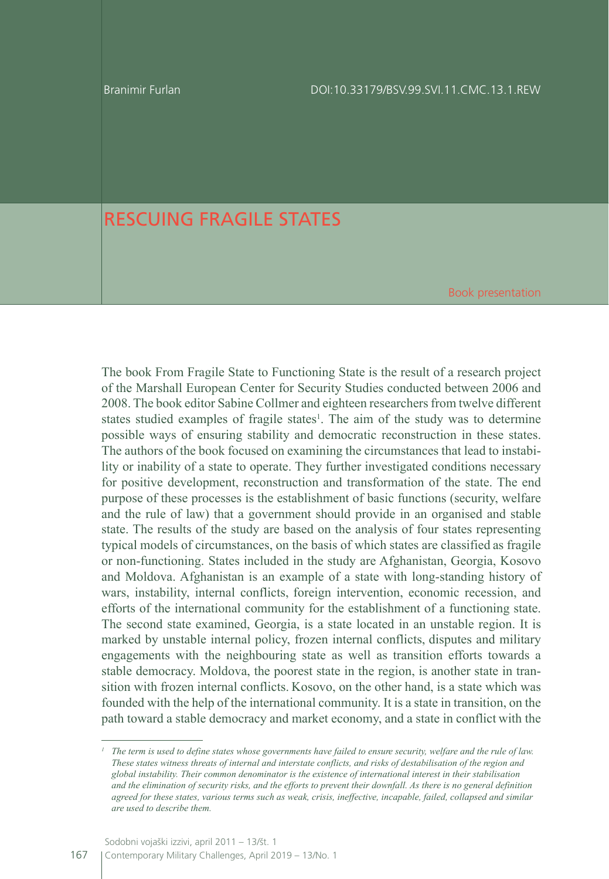Branimir Furlan

## RESCUING FRAGILE STATES

Book presentation

The book From Fragile State to Functioning State is the result of a research project of the Marshall European Center for Security Studies conducted between 2006 and 2008. The book editor Sabine Collmer and eighteen researchers from twelve different states studied examples of fragile states<sup>1</sup>. The aim of the study was to determine possible ways of ensuring stability and democratic reconstruction in these states. The authors of the book focused on examining the circumstances that lead to instability or inability of a state to operate. They further investigated conditions necessary for positive development, reconstruction and transformation of the state. The end purpose of these processes is the establishment of basic functions (security, welfare and the rule of law) that a government should provide in an organised and stable state. The results of the study are based on the analysis of four states representing typical models of circumstances, on the basis of which states are classified as fragile or non-functioning. States included in the study are Afghanistan, Georgia, Kosovo and Moldova. Afghanistan is an example of a state with long-standing history of wars, instability, internal conflicts, foreign intervention, economic recession, and efforts of the international community for the establishment of a functioning state. The second state examined, Georgia, is a state located in an unstable region. It is marked by unstable internal policy, frozen internal conflicts, disputes and military engagements with the neighbouring state as well as transition efforts towards a stable democracy. Moldova, the poorest state in the region, is another state in transition with frozen internal conflicts. Kosovo, on the other hand, is a state which was founded with the help of the international community. It is a state in transition, on the path toward a stable democracy and market economy, and a state in conflict with the

*<sup>1</sup> The term is used to define states whose governments have failed to ensure security, welfare and the rule of law. These states witness threats of internal and interstate conflicts, and risks of destabilisation of the region and global instability. Their common denominator is the existence of international interest in their stabilisation and the elimination of security risks, and the efforts to prevent their downfall. As there is no general definition agreed for these states, various terms such as weak, crisis, ineffective, incapable, failed, collapsed and similar are used to describe them.*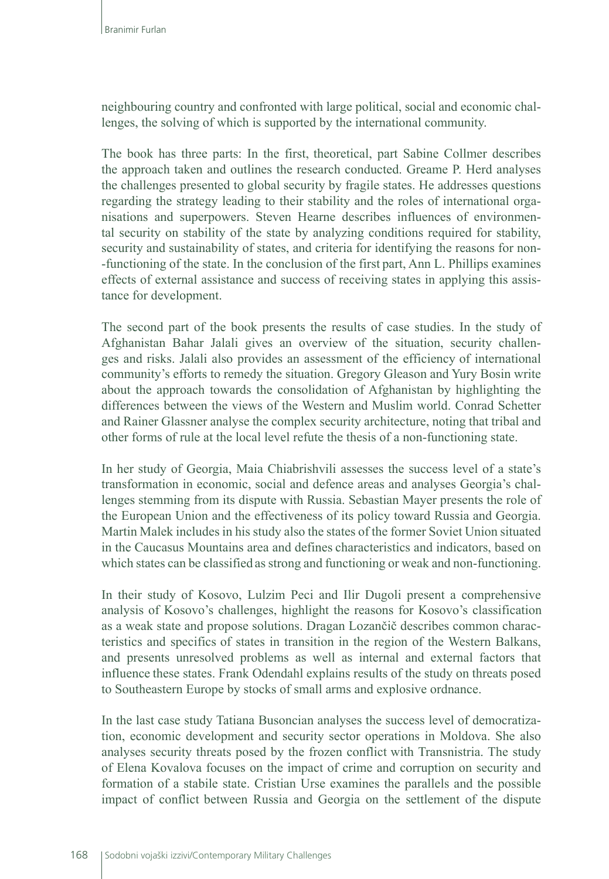neighbouring country and confronted with large political, social and economic challenges, the solving of which is supported by the international community.

The book has three parts: In the first, theoretical, part Sabine Collmer describes the approach taken and outlines the research conducted. Greame P. Herd analyses the challenges presented to global security by fragile states. He addresses questions regarding the strategy leading to their stability and the roles of international organisations and superpowers. Steven Hearne describes influences of environmental security on stability of the state by analyzing conditions required for stability, security and sustainability of states, and criteria for identifying the reasons for non- -functioning of the state. In the conclusion of the first part, Ann L. Phillips examines effects of external assistance and success of receiving states in applying this assistance for development.

The second part of the book presents the results of case studies. In the study of Afghanistan Bahar Jalali gives an overview of the situation, security challenges and risks. Jalali also provides an assessment of the efficiency of international community's efforts to remedy the situation. Gregory Gleason and Yury Bosin write about the approach towards the consolidation of Afghanistan by highlighting the differences between the views of the Western and Muslim world. Conrad Schetter and Rainer Glassner analyse the complex security architecture, noting that tribal and other forms of rule at the local level refute the thesis of a non-functioning state.

In her study of Georgia, Maia Chiabrishvili assesses the success level of a state's transformation in economic, social and defence areas and analyses Georgia's challenges stemming from its dispute with Russia. Sebastian Mayer presents the role of the European Union and the effectiveness of its policy toward Russia and Georgia. Martin Malek includes in his study also the states of the former Soviet Union situated in the Caucasus Mountains area and defines characteristics and indicators, based on which states can be classified as strong and functioning or weak and non-functioning.

In their study of Kosovo, Lulzim Peci and Ilir Dugoli present a comprehensive analysis of Kosovo's challenges, highlight the reasons for Kosovo's classification as a weak state and propose solutions. Dragan Lozančič describes common characteristics and specifics of states in transition in the region of the Western Balkans, and presents unresolved problems as well as internal and external factors that influence these states. Frank Odendahl explains results of the study on threats posed to Southeastern Europe by stocks of small arms and explosive ordnance.

In the last case study Tatiana Busoncian analyses the success level of democratization, economic development and security sector operations in Moldova. She also analyses security threats posed by the frozen conflict with Transnistria. The study of Elena Kovalova focuses on the impact of crime and corruption on security and formation of a stabile state. Cristian Urse examines the parallels and the possible impact of conflict between Russia and Georgia on the settlement of the dispute